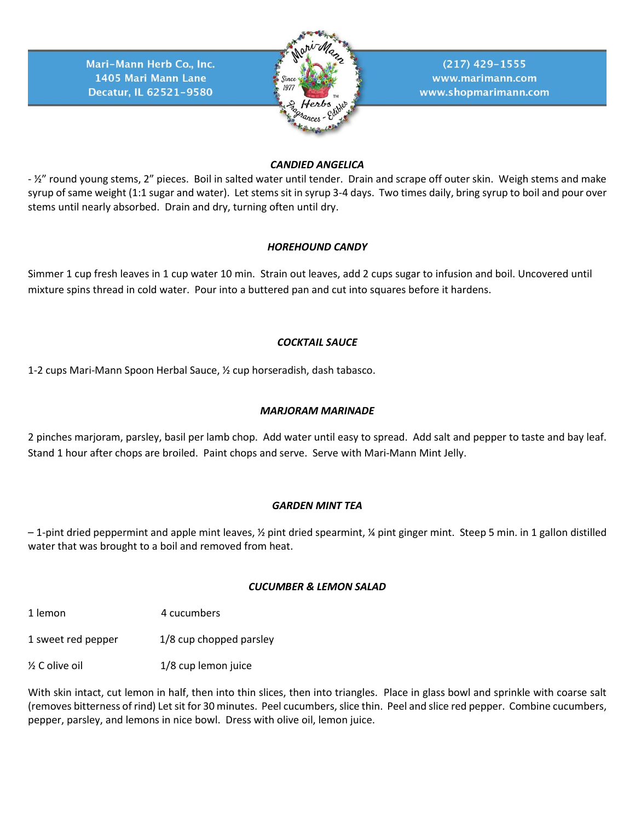

 $(217)$  429-1555 www.marimann.com www.shopmarimann.com

## *CANDIED ANGELICA*

- ½" round young stems, 2" pieces. Boil in salted water until tender. Drain and scrape off outer skin. Weigh stems and make syrup of same weight (1:1 sugar and water). Let stems sit in syrup 3-4 days. Two times daily, bring syrup to boil and pour over stems until nearly absorbed. Drain and dry, turning often until dry.

## *HOREHOUND CANDY*

Simmer 1 cup fresh leaves in 1 cup water 10 min. Strain out leaves, add 2 cups sugar to infusion and boil. Uncovered until mixture spins thread in cold water. Pour into a buttered pan and cut into squares before it hardens.

## *COCKTAIL SAUCE*

1-2 cups Mari-Mann Spoon Herbal Sauce, ½ cup horseradish, dash tabasco.

# *MARJORAM MARINADE*

2 pinches marjoram, parsley, basil per lamb chop. Add water until easy to spread. Add salt and pepper to taste and bay leaf. Stand 1 hour after chops are broiled. Paint chops and serve. Serve with Mari-Mann Mint Jelly.

## *GARDEN MINT TEA*

 $-1$ -pint dried peppermint and apple mint leaves,  $\frac{1}{2}$  pint dried spearmint,  $\frac{1}{2}$  pint ginger mint. Steep 5 min. in 1 gallon distilled water that was brought to a boil and removed from heat.

## *CUCUMBER & LEMON SALAD*

1 lemon 4 cucumbers

1 sweet red pepper 1/8 cup chopped parsley

 $\frac{1}{8}$  C olive oil  $\frac{1}{8}$  cup lemon juice

With skin intact, cut lemon in half, then into thin slices, then into triangles. Place in glass bowl and sprinkle with coarse salt (removes bitterness of rind) Let sit for 30 minutes. Peel cucumbers, slice thin. Peel and slice red pepper. Combine cucumbers, pepper, parsley, and lemons in nice bowl. Dress with olive oil, lemon juice.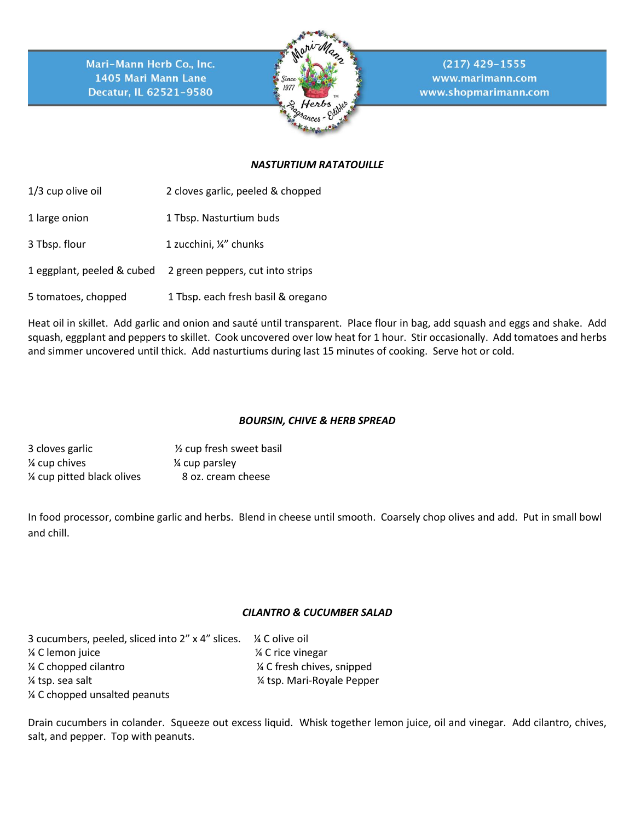

 $(217)$  429-1555 www.marimann.com www.shopmarimann.com

# *NASTURTIUM RATATOUILLE*

1/3 cup olive oil 2 cloves garlic, peeled & chopped

- 1 large onion 1 Tbsp. Nasturtium buds
- 3 Tbsp. flour 1 zucchini, ¼" chunks
- 1 eggplant, peeled & cubed 2 green peppers, cut into strips
- 5 tomatoes, chopped 1 Tbsp. each fresh basil & oregano

Heat oil in skillet. Add garlic and onion and sauté until transparent. Place flour in bag, add squash and eggs and shake. Add squash, eggplant and peppers to skillet. Cook uncovered over low heat for 1 hour. Stir occasionally. Add tomatoes and herbs and simmer uncovered until thick. Add nasturtiums during last 15 minutes of cooking. Serve hot or cold.

## *BOURSIN, CHIVE & HERB SPREAD*

| 3 cloves garlic           | 1/ <sub>2</sub> cup fresh sweet basil |
|---------------------------|---------------------------------------|
| ¼ cup chives              | 1/4 cup parsley                       |
| % cup pitted black olives | 8 oz. cream cheese                    |

In food processor, combine garlic and herbs. Blend in cheese until smooth. Coarsely chop olives and add. Put in small bowl and chill.

## *CILANTRO & CUCUMBER SALAD*

| 3 cucumbers, peeled, sliced into 2" x 4" slices. % C olive oil |                             |
|----------------------------------------------------------------|-----------------------------|
| % C lemon juice                                                | 1⁄4 C rice vinegar          |
| 1/4 C chopped cilantro                                         | 1/4 C fresh chives, snipped |
| 1/4 tsp. sea salt                                              | 1/4 tsp. Mari-Royale Pepper |
| 1/4 C chopped unsalted peanuts                                 |                             |

Drain cucumbers in colander. Squeeze out excess liquid. Whisk together lemon juice, oil and vinegar. Add cilantro, chives, salt, and pepper. Top with peanuts.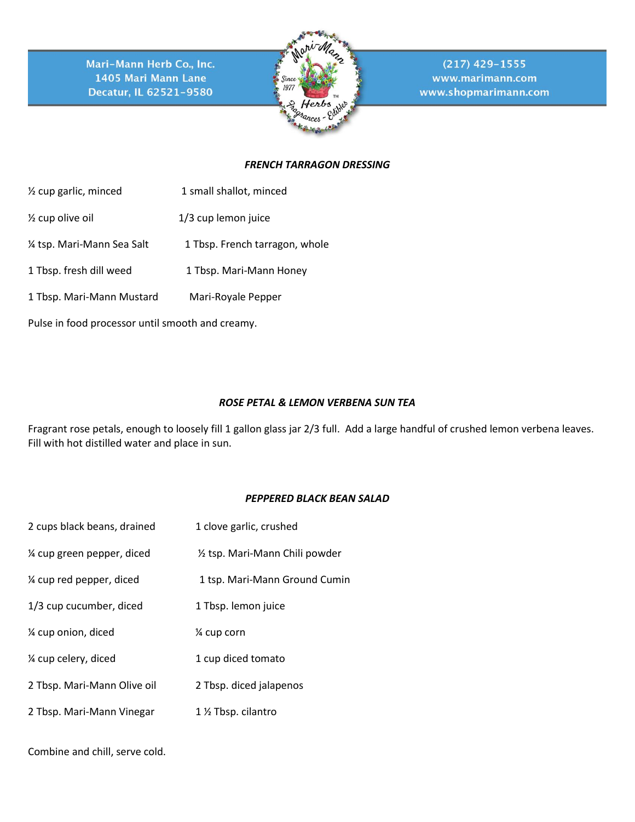

 $(217)$  429-1555 www.marimann.com www.shopmarimann.com

## *FRENCH TARRAGON DRESSING*

- ½ cup garlic, minced 1 small shallot, minced
- ½ cup olive oil 1/3 cup lemon juice
- 1/4 tsp. Mari-Mann Sea Salt 1 Tbsp. French tarragon, whole
- 1 Tbsp. fresh dill weed 1 Tbsp. Mari-Mann Honey
- 1 Tbsp. Mari-Mann Mustard Mari-Royale Pepper

Pulse in food processor until smooth and creamy.

## *ROSE PETAL & LEMON VERBENA SUN TEA*

Fragrant rose petals, enough to loosely fill 1 gallon glass jar 2/3 full. Add a large handful of crushed lemon verbena leaves. Fill with hot distilled water and place in sun.

## *PEPPERED BLACK BEAN SALAD*

| 2 cups black beans, drained | 1 clove garlic, crushed         |
|-----------------------------|---------------------------------|
| 1/4 cup green pepper, diced | 1/2 tsp. Mari-Mann Chili powder |
| % cup red pepper, diced     | 1 tsp. Mari-Mann Ground Cumin   |
| 1/3 cup cucumber, diced     | 1 Tbsp. lemon juice             |
| % cup onion, diced          | 1⁄4 cup corn                    |
| % cup celery, diced         | 1 cup diced tomato              |
| 2 Tbsp. Mari-Mann Olive oil | 2 Tbsp. diced jalapenos         |
| 2 Tbsp. Mari-Mann Vinegar   | 1 % Tbsp. cilantro              |
|                             |                                 |

Combine and chill, serve cold.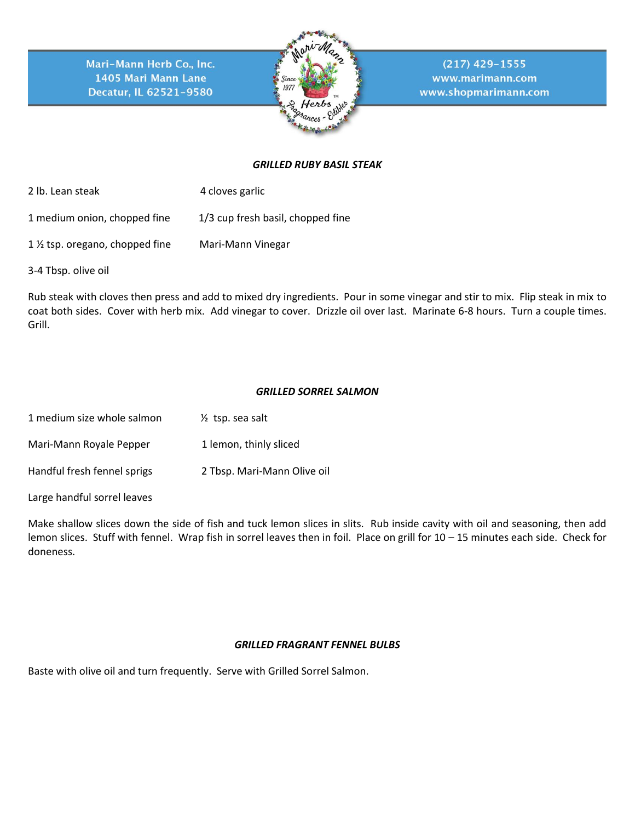

 $(217)$  429-1555 www.marimann.com www.shopmarimann.com

## *GRILLED RUBY BASIL STEAK*

- 2 lb. Lean steak 4 cloves garlic
- 1 medium onion, chopped fine 1/3 cup fresh basil, chopped fine
- 1 ½ tsp. oregano, chopped fine Mari-Mann Vinegar
- 3-4 Tbsp. olive oil

Rub steak with cloves then press and add to mixed dry ingredients. Pour in some vinegar and stir to mix. Flip steak in mix to coat both sides. Cover with herb mix. Add vinegar to cover. Drizzle oil over last. Marinate 6-8 hours. Turn a couple times. Grill.

## *GRILLED SORREL SALMON*

| 1 medium size whole salmon  | $\frac{1}{2}$ tsp. sea salt |
|-----------------------------|-----------------------------|
| Mari-Mann Royale Pepper     | 1 lemon, thinly sliced      |
| Handful fresh fennel sprigs | 2 Tbsp. Mari-Mann Olive oil |

Large handful sorrel leaves

Make shallow slices down the side of fish and tuck lemon slices in slits. Rub inside cavity with oil and seasoning, then add lemon slices. Stuff with fennel. Wrap fish in sorrel leaves then in foil. Place on grill for 10 – 15 minutes each side. Check for doneness.

#### *GRILLED FRAGRANT FENNEL BULBS*

Baste with olive oil and turn frequently. Serve with Grilled Sorrel Salmon.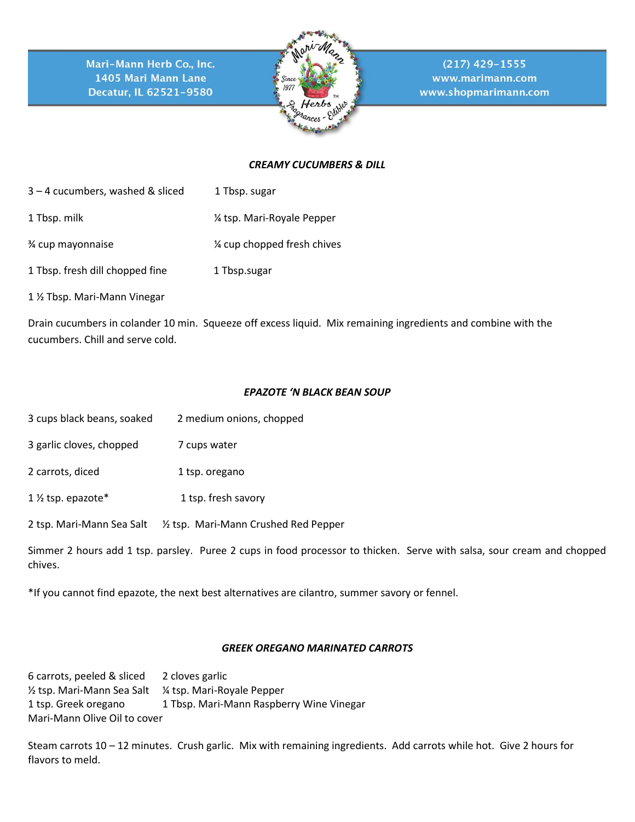

 $(217)$  429-1555 www.marimann.com www.shopmarimann.com

## *CREAMY CUCUMBERS & DILL*

- 3 4 cucumbers, washed & sliced 1 Tbsp. sugar
- 1 Tbsp. milk  $\frac{1}{2}$  Tbsp. milk
- ¾ cup mayonnaise ¼ cup chopped fresh chives
- 1 Tbsp. fresh dill chopped fine 1 Tbsp.sugar
- 1 ½ Tbsp. Mari-Mann Vinegar

Drain cucumbers in colander 10 min. Squeeze off excess liquid. Mix remaining ingredients and combine with the cucumbers. Chill and serve cold.

## *EPAZOTE 'N BLACK BEAN SOUP*

- 3 cups black beans, soaked 2 medium onions, chopped
- 3 garlic cloves, chopped 7 cups water
- 2 carrots, diced 1 tsp. oregano
- 1 <sup>1</sup>/<sub>2</sub> tsp. epazote\* 1 tsp. fresh savory
- 2 tsp. Mari-Mann Sea Salt ½ tsp. Mari-Mann Crushed Red Pepper

Simmer 2 hours add 1 tsp. parsley. Puree 2 cups in food processor to thicken. Serve with salsa, sour cream and chopped chives.

\*If you cannot find epazote, the next best alternatives are cilantro, summer savory or fennel.

## *GREEK OREGANO MARINATED CARROTS*

6 carrots, peeled & sliced 2 cloves garlic ½ tsp. Mari-Mann Sea Salt ¼ tsp. Mari-Royale Pepper 1 tsp. Greek oregano 1 Tbsp. Mari-Mann Raspberry Wine Vinegar Mari-Mann Olive Oil to cover

Steam carrots 10 – 12 minutes. Crush garlic. Mix with remaining ingredients. Add carrots while hot. Give 2 hours for flavors to meld.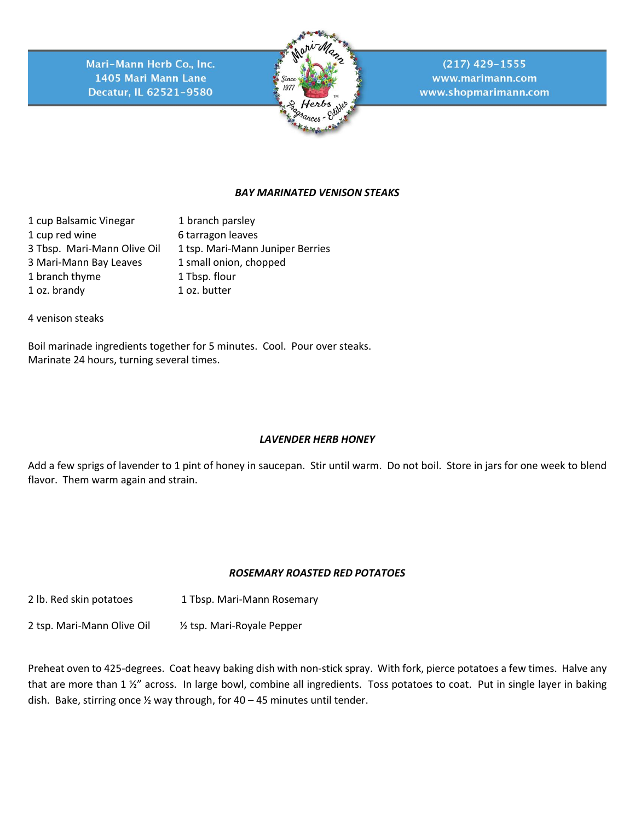

 $(217)$  429-1555 www.marimann.com www.shopmarimann.com

# *BAY MARINATED VENISON STEAKS*

1 cup Balsamic Vinegar 1 branch parsley 1 cup red wine 6 tarragon leaves 3 Tbsp. Mari-Mann Olive Oil 1 tsp. Mari-Mann Juniper Berries 3 Mari-Mann Bay Leaves 1 small onion, chopped 1 branch thyme 1 Tbsp. flour 1 oz. brandy 1 oz. butter

4 venison steaks

Boil marinade ingredients together for 5 minutes. Cool. Pour over steaks. Marinate 24 hours, turning several times.

## *LAVENDER HERB HONEY*

Add a few sprigs of lavender to 1 pint of honey in saucepan. Stir until warm. Do not boil. Store in jars for one week to blend flavor. Them warm again and strain.

## *ROSEMARY ROASTED RED POTATOES*

2 lb. Red skin potatoes 1 Tbsp. Mari-Mann Rosemary

2 tsp. Mari-Mann Olive Oil ½ tsp. Mari-Royale Pepper

Preheat oven to 425-degrees. Coat heavy baking dish with non-stick spray. With fork, pierce potatoes a few times. Halve any that are more than 1 %" across. In large bowl, combine all ingredients. Toss potatoes to coat. Put in single layer in baking dish. Bake, stirring once  $\frac{1}{2}$  way through, for 40 – 45 minutes until tender.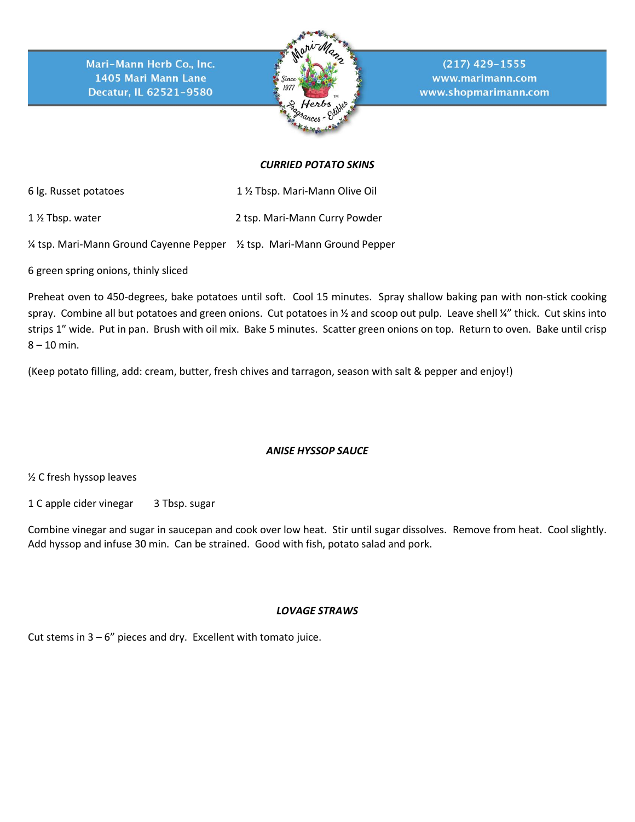

 $(217)$  429-1555 www.marimann.com www.shopmarimann.com

## *CURRIED POTATO SKINS*

6 lg. Russet potatoes 1 ½ Tbsp. Mari-Mann Olive Oil

1 ½ Tbsp. water 2 tsp. Mari-Mann Curry Powder

¼ tsp. Mari-Mann Ground Cayenne Pepper ½ tsp. Mari-Mann Ground Pepper

6 green spring onions, thinly sliced

Preheat oven to 450-degrees, bake potatoes until soft. Cool 15 minutes. Spray shallow baking pan with non-stick cooking spray. Combine all but potatoes and green onions. Cut potatoes in 1/2 and scoop out pulp. Leave shell 1/4" thick. Cut skins into strips 1" wide. Put in pan. Brush with oil mix. Bake 5 minutes. Scatter green onions on top. Return to oven. Bake until crisp  $8 - 10$  min.

(Keep potato filling, add: cream, butter, fresh chives and tarragon, season with salt & pepper and enjoy!)

# *ANISE HYSSOP SAUCE*

½ C fresh hyssop leaves

1 C apple cider vinegar 3 Tbsp. sugar

Combine vinegar and sugar in saucepan and cook over low heat. Stir until sugar dissolves. Remove from heat. Cool slightly. Add hyssop and infuse 30 min. Can be strained. Good with fish, potato salad and pork.

## *LOVAGE STRAWS*

Cut stems in  $3 - 6$ " pieces and dry. Excellent with tomato juice.